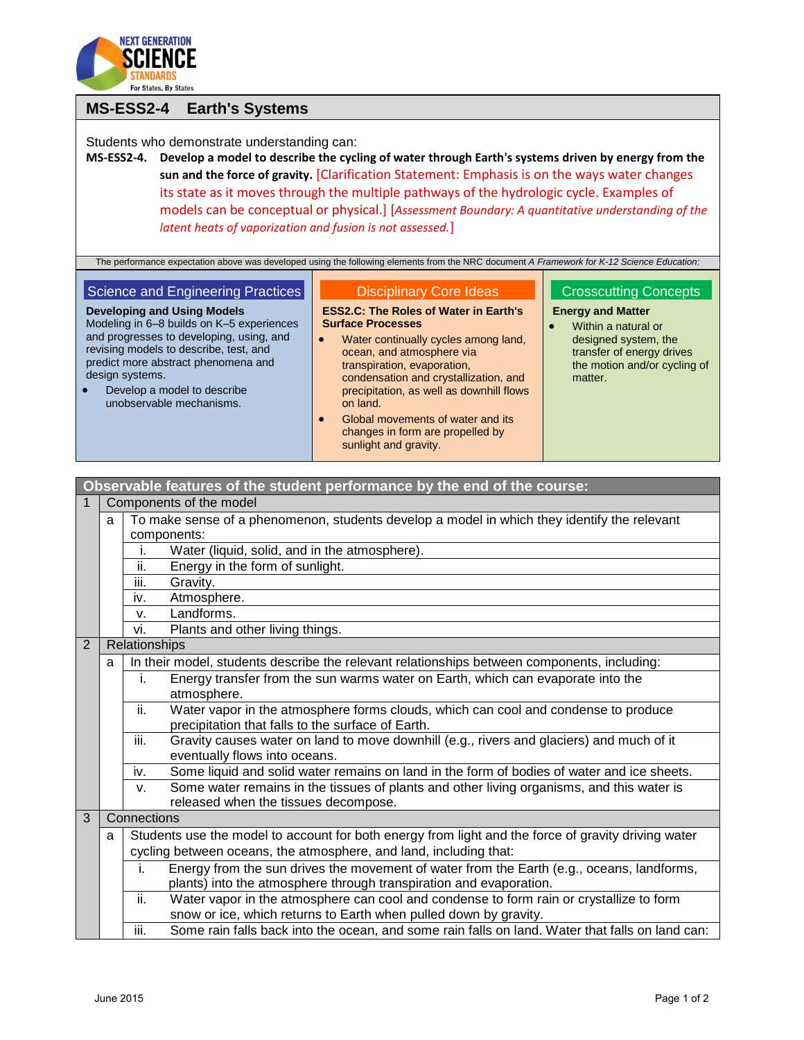

# **MS-ESS2-4 Earth's Systems**

Students who demonstrate understanding can:

**MS-ESS2-4. Develop a model to describe the cycling of water through Earth's systems driven by energy from the sun and the force of gravity.** [Clarification Statement: Emphasis is on the ways water changes its state as it moves through the multiple pathways of the hydrologic cycle. Examples of models can be conceptual or physical.] [*Assessment Boundary: A quantitative understanding of the latent heats of vaporization and fusion is not assessed.*]

The performance expectation above was developed using the following elements from the NRC document *A Framework for K-12 Science Education*:

# Science and Engineering Practices

#### Disciplinary Core Ideas

**ESS2.C: The Roles of Water in Earth's Surface Processes**

- **Developing and Using Models** Modeling in 6–8 builds on K–5 experiences and progresses to developing, using, and revising models to describe, test, and predict more abstract phenomena and design systems.
- Develop a model to describe unobservable mechanisms.
- Water continually cycles among land, ocean, and atmosphere via transpiration, evaporation, condensation and crystallization, and precipitation, as well as downhill flows on land.
- Global movements of water and its changes in form are propelled by sunlight and gravity.

**Observable features of the student performance by the end of the course:**

### Crosscutting Concepts

### **Energy and Matter**

 Within a natural or designed system, the transfer of energy drives the motion and/or cycling of matter.

|                                         | ODSERVADIO IOALUIOS UN LIIO SLUUOIIL PONUNNINUO DY LIIO ONU UN LIIO COUISO. |               |                                                                                                     |  |  |
|-----------------------------------------|-----------------------------------------------------------------------------|---------------|-----------------------------------------------------------------------------------------------------|--|--|
| $\mathbf{1}$<br>Components of the model |                                                                             |               |                                                                                                     |  |  |
|                                         | a                                                                           |               | To make sense of a phenomenon, students develop a model in which they identify the relevant         |  |  |
|                                         |                                                                             |               | components:                                                                                         |  |  |
|                                         |                                                                             | i.            | Water (liquid, solid, and in the atmosphere).                                                       |  |  |
|                                         |                                                                             | ii.           | Energy in the form of sunlight.                                                                     |  |  |
|                                         |                                                                             | iii.          | Gravity.                                                                                            |  |  |
|                                         |                                                                             | iv.           | Atmosphere.                                                                                         |  |  |
|                                         |                                                                             | v.            | Landforms.                                                                                          |  |  |
|                                         |                                                                             | vi.           | Plants and other living things.                                                                     |  |  |
| $\overline{2}$                          |                                                                             | Relationships |                                                                                                     |  |  |
|                                         | a                                                                           |               | In their model, students describe the relevant relationships between components, including:         |  |  |
|                                         |                                                                             | i.            | Energy transfer from the sun warms water on Earth, which can evaporate into the                     |  |  |
|                                         |                                                                             |               | atmosphere.                                                                                         |  |  |
|                                         |                                                                             | ii.           | Water vapor in the atmosphere forms clouds, which can cool and condense to produce                  |  |  |
|                                         |                                                                             |               | precipitation that falls to the surface of Earth.                                                   |  |  |
|                                         |                                                                             | iii.          | Gravity causes water on land to move downhill (e.g., rivers and glaciers) and much of it            |  |  |
|                                         |                                                                             |               | eventually flows into oceans.                                                                       |  |  |
|                                         |                                                                             | iv.           | Some liquid and solid water remains on land in the form of bodies of water and ice sheets.          |  |  |
|                                         |                                                                             | V.            | Some water remains in the tissues of plants and other living organisms, and this water is           |  |  |
|                                         |                                                                             |               | released when the tissues decompose.                                                                |  |  |
| $\overline{3}$                          |                                                                             | Connections   |                                                                                                     |  |  |
|                                         | a                                                                           |               | Students use the model to account for both energy from light and the force of gravity driving water |  |  |
|                                         |                                                                             |               | cycling between oceans, the atmosphere, and land, including that:                                   |  |  |
|                                         |                                                                             | j.            | Energy from the sun drives the movement of water from the Earth (e.g., oceans, landforms,           |  |  |
|                                         |                                                                             |               | plants) into the atmosphere through transpiration and evaporation.                                  |  |  |
|                                         |                                                                             | ii.           | Water vapor in the atmosphere can cool and condense to form rain or crystallize to form             |  |  |
|                                         |                                                                             |               | snow or ice, which returns to Earth when pulled down by gravity.                                    |  |  |
|                                         |                                                                             | iii.          | Some rain falls back into the ocean, and some rain falls on land. Water that falls on land can:     |  |  |
|                                         |                                                                             |               |                                                                                                     |  |  |